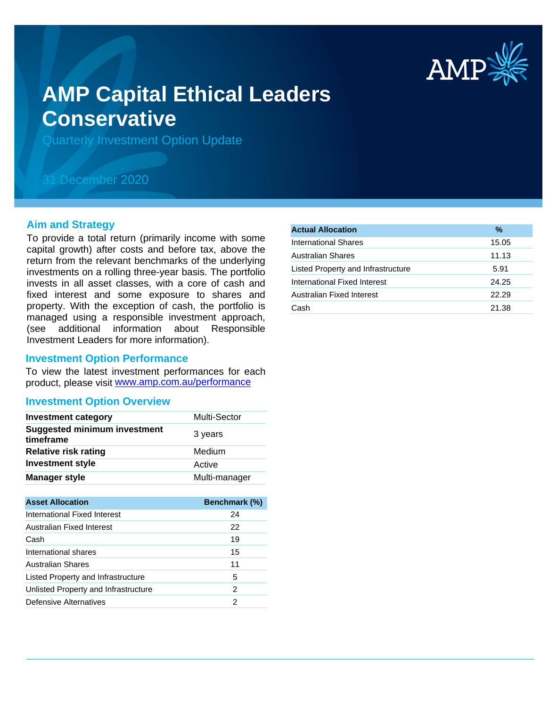

# **AMP Capital Ethical Leaders Conservative**

Quarterly Investment Option Update

# 31 December 2020

## **Aim and Strategy**

To provide a total return (primarily income with some capital growth) after costs and before tax, above the return from the relevant benchmarks of the underlying investments on a rolling three-year basis. The portfolio invests in all asset classes, with a core of cash and fixed interest and some exposure to shares and property. With the exception of cash, the portfolio is managed using a responsible investment approach, (see additional information about Responsible Investment Leaders for more information).

## **Investment Option Performance**

product, please visit www.amp.com.au/performance To view the latest investment performances for each

#### **Investment Option Overview**

| <b>Investment category</b>                       | <b>Multi-Sector</b> |
|--------------------------------------------------|---------------------|
| <b>Suggested minimum investment</b><br>timeframe | 3 years             |
| <b>Relative risk rating</b>                      | Medium              |
| <b>Investment style</b>                          | Active              |
| <b>Manager style</b>                             | Multi-manager       |

| <b>Asset Allocation</b>              | <b>Benchmark (%)</b> |
|--------------------------------------|----------------------|
| International Fixed Interest         | 24                   |
| Australian Fixed Interest            | 22                   |
| Cash                                 | 19                   |
| International shares                 | 15                   |
| Australian Shares                    | 11                   |
| Listed Property and Infrastructure   | 5                    |
| Unlisted Property and Infrastructure | 2                    |
| Defensive Alternatives               | 2                    |
|                                      |                      |

| <b>Actual Allocation</b>           | %     |
|------------------------------------|-------|
| International Shares               | 15.05 |
| <b>Australian Shares</b>           | 11.13 |
| Listed Property and Infrastructure | 5.91  |
| International Fixed Interest       | 24.25 |
| Australian Fixed Interest          | 22.29 |
| Cash                               | 21.38 |
|                                    |       |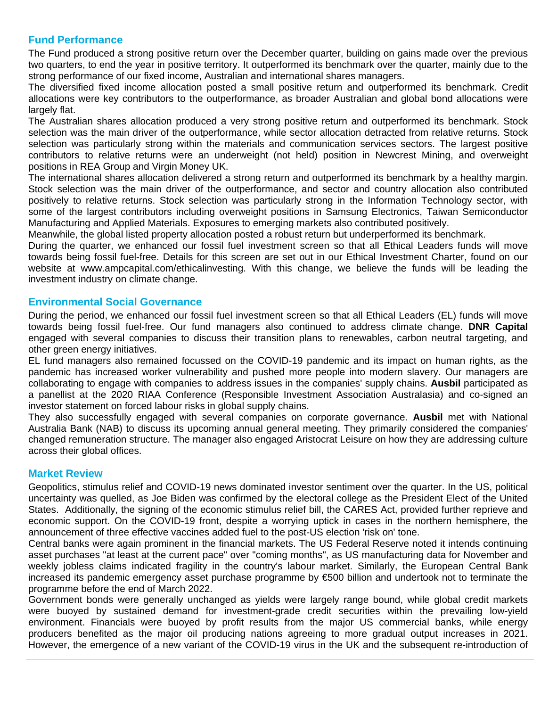# **Fund Performance**

The Fund produced a strong positive return over the December quarter, building on gains made over the previous two quarters, to end the year in positive territory. It outperformed its benchmark over the quarter, mainly due to the strong performance of our fixed income, Australian and international shares managers.

The diversified fixed income allocation posted a small positive return and outperformed its benchmark. Credit allocations were key contributors to the outperformance, as broader Australian and global bond allocations were largely flat.

The Australian shares allocation produced a very strong positive return and outperformed its benchmark. Stock selection was the main driver of the outperformance, while sector allocation detracted from relative returns. Stock selection was particularly strong within the materials and communication services sectors. The largest positive contributors to relative returns were an underweight (not held) position in Newcrest Mining, and overweight positions in REA Group and Virgin Money UK.

The international shares allocation delivered a strong return and outperformed its benchmark by a healthy margin. Stock selection was the main driver of the outperformance, and sector and country allocation also contributed positively to relative returns. Stock selection was particularly strong in the Information Technology sector, with some of the largest contributors including overweight positions in Samsung Electronics, Taiwan Semiconductor Manufacturing and Applied Materials. Exposures to emerging markets also contributed positively.

Meanwhile, the global listed property allocation posted a robust return but underperformed its benchmark.

During the quarter, we enhanced our fossil fuel investment screen so that all Ethical Leaders funds will move towards being fossil fuel-free. Details for this screen are set out in our Ethical Investment Charter, found on our website at www.ampcapital.com/ethicalinvesting. With this change, we believe the funds will be leading the investment industry on climate change.

# **Environmental Social Governance**

During the period, we enhanced our fossil fuel investment screen so that all Ethical Leaders (EL) funds will move towards being fossil fuel-free. Our fund managers also continued to address climate change. **DNR Capital** engaged with several companies to discuss their transition plans to renewables, carbon neutral targeting, and other green energy initiatives.

EL fund managers also remained focussed on the COVID-19 pandemic and its impact on human rights, as the pandemic has increased worker vulnerability and pushed more people into modern slavery. Our managers are collaborating to engage with companies to address issues in the companies' supply chains. **Ausbil** participated as a panellist at the 2020 RIAA Conference (Responsible Investment Association Australasia) and co-signed an investor statement on forced labour risks in global supply chains.

They also successfully engaged with several companies on corporate governance. **Ausbil** met with National Australia Bank (NAB) to discuss its upcoming annual general meeting. They primarily considered the companies' changed remuneration structure. The manager also engaged Aristocrat Leisure on how they are addressing culture across their global offices.

# **Market Review**

Geopolitics, stimulus relief and COVID-19 news dominated investor sentiment over the quarter. In the US, political uncertainty was quelled, as Joe Biden was confirmed by the electoral college as the President Elect of the United States. Additionally, the signing of the economic stimulus relief bill, the CARES Act, provided further reprieve and economic support. On the COVID-19 front, despite a worrying uptick in cases in the northern hemisphere, the announcement of three effective vaccines added fuel to the post-US election 'risk on' tone.

Central banks were again prominent in the financial markets. The US Federal Reserve noted it intends continuing asset purchases "at least at the current pace" over "coming months", as US manufacturing data for November and weekly jobless claims indicated fragility in the country's labour market. Similarly, the European Central Bank increased its pandemic emergency asset purchase programme by €500 billion and undertook not to terminate the programme before the end of March 2022.

Government bonds were generally unchanged as yields were largely range bound, while global credit markets were buoyed by sustained demand for investment-grade credit securities within the prevailing low-yield environment. Financials were buoyed by profit results from the major US commercial banks, while energy producers benefited as the major oil producing nations agreeing to more gradual output increases in 2021. However, the emergence of a new variant of the COVID-19 virus in the UK and the subsequent re-introduction of

severe lockdown restrictions weighed on earlier optimism amid concerns that potential similar moves in other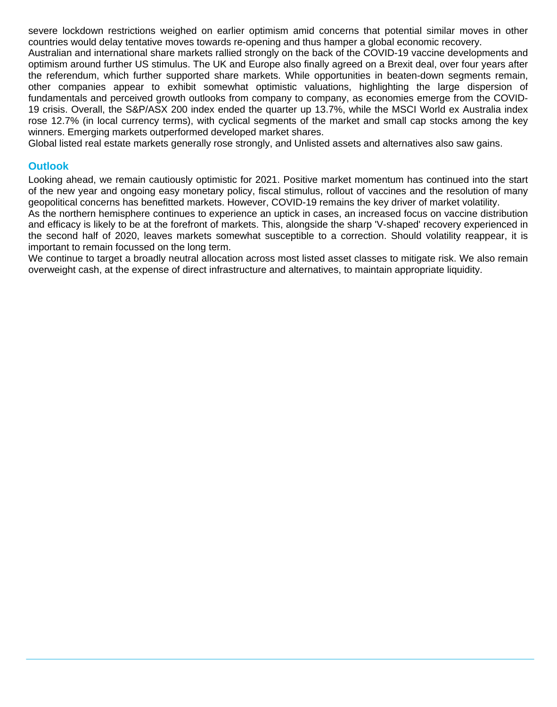severe lockdown restrictions weighed on earlier optimism amid concerns that potential similar moves in other countries would delay tentative moves towards re-opening and thus hamper a global economic recovery.

Australian and international share markets rallied strongly on the back of the COVID-19 vaccine developments and optimism around further US stimulus. The UK and Europe also finally agreed on a Brexit deal, over four years after the referendum, which further supported share markets. While opportunities in beaten-down segments remain, other companies appear to exhibit somewhat optimistic valuations, highlighting the large dispersion of fundamentals and perceived growth outlooks from company to company, as economies emerge from the COVID-19 crisis. Overall, the S&P/ASX 200 index ended the quarter up 13.7%, while the MSCI World ex Australia index rose 12.7% (in local currency terms), with cyclical segments of the market and small cap stocks among the key winners. Emerging markets outperformed developed market shares.

Global listed real estate markets generally rose strongly, and Unlisted assets and alternatives also saw gains.

# **Outlook**

Looking ahead, we remain cautiously optimistic for 2021. Positive market momentum has continued into the start of the new year and ongoing easy monetary policy, fiscal stimulus, rollout of vaccines and the resolution of many geopolitical concerns has benefitted markets. However, COVID-19 remains the key driver of market volatility.

As the northern hemisphere continues to experience an uptick in cases, an increased focus on vaccine distribution and efficacy is likely to be at the forefront of markets. This, alongside the sharp 'V-shaped' recovery experienced in the second half of 2020, leaves markets somewhat susceptible to a correction. Should volatility reappear, it is important to remain focussed on the long term.

We continue to target a broadly neutral allocation across most listed asset classes to mitigate risk. We also remain overweight cash, at the expense of direct infrastructure and alternatives, to maintain appropriate liquidity.